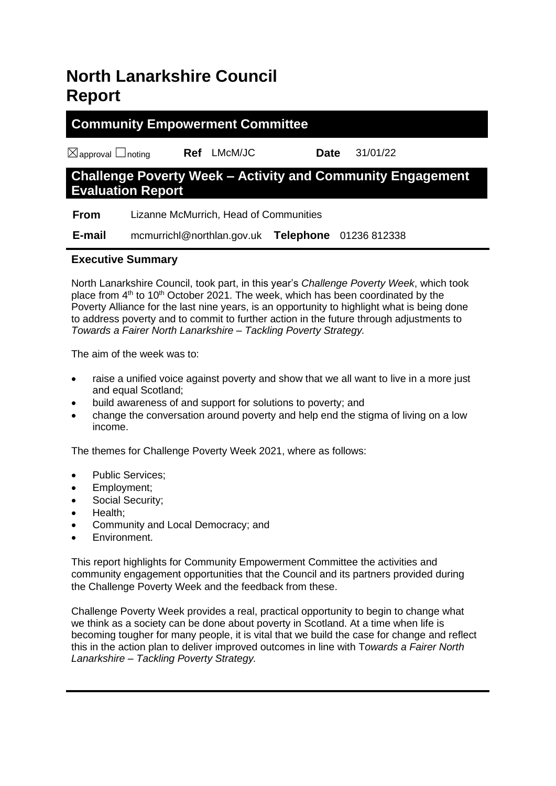# **North Lanarkshire Council Report**

## **Community Empowerment Committee**

☒approval ☐noting **Ref** LMcM/JC **Date** 31/01/22

# **Challenge Poverty Week – Activity and Community Engagement Evaluation Report**

 **From** Lizanne McMurrich, Head of Communities

 **E-mail** mcmurrichl@northlan.gov.uk **Telephone** 01236 812338

## **Executive Summary**

North Lanarkshire Council, took part, in this year's *Challenge Poverty Week*, which took place from 4<sup>th</sup> to 10<sup>th</sup> October 2021. The week, which has been coordinated by the Poverty Alliance for the last nine years, is an opportunity to highlight what is being done to address poverty and to commit to further action in the future through adjustments to *Towards a Fairer North Lanarkshire – Tackling Poverty Strategy.*

The aim of the week was to:

- raise a unified voice against poverty and show that we all want to live in a more just and equal Scotland;
- build awareness of and support for solutions to poverty; and
- change the conversation around poverty and help end the stigma of living on a low income.

The themes for Challenge Poverty Week 2021, where as follows:

- Public Services;
- Employment;
- Social Security;
- Health;
- Community and Local Democracy; and
- Environment.

This report highlights for Community Empowerment Committee the activities and community engagement opportunities that the Council and its partners provided during the Challenge Poverty Week and the feedback from these.

Challenge Poverty Week provides a real, practical opportunity to begin to change what we think as a society can be done about poverty in Scotland. At a time when life is becoming tougher for many people, it is vital that we build the case for change and reflect this in the action plan to deliver improved outcomes in line with T*owards a Fairer North Lanarkshire – Tackling Poverty Strategy.*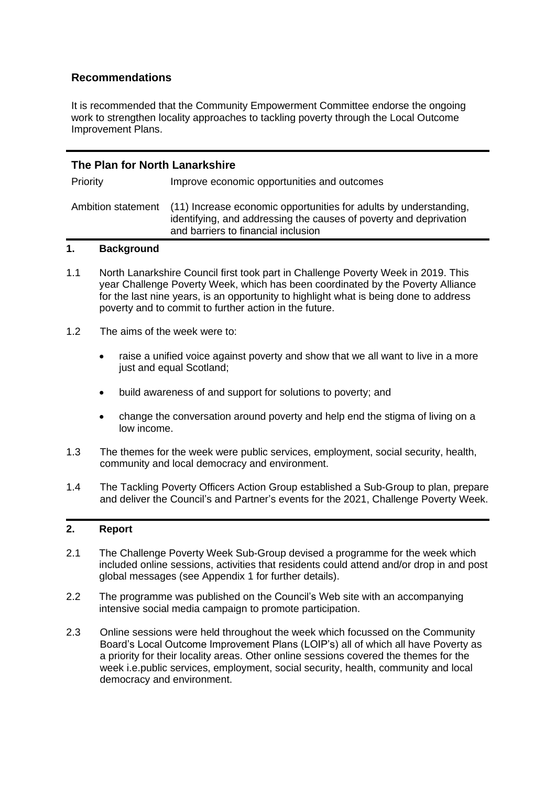### **Recommendations**

It is recommended that the Community Empowerment Committee endorse the ongoing work to strengthen locality approaches to tackling poverty through the Local Outcome Improvement Plans.

| The Plan for North Lanarkshire |                                                                                                                                                                                                  |  |  |
|--------------------------------|--------------------------------------------------------------------------------------------------------------------------------------------------------------------------------------------------|--|--|
| Priority                       | Improve economic opportunities and outcomes                                                                                                                                                      |  |  |
|                                | Ambition statement (11) Increase economic opportunities for adults by understanding,<br>identifying, and addressing the causes of poverty and deprivation<br>and barriers to financial inclusion |  |  |

#### **1. Background**

- 1.1 North Lanarkshire Council first took part in Challenge Poverty Week in 2019. This year Challenge Poverty Week, which has been coordinated by the Poverty Alliance for the last nine years, is an opportunity to highlight what is being done to address poverty and to commit to further action in the future.
- 1.2 The aims of the week were to:
	- raise a unified voice against poverty and show that we all want to live in a more just and equal Scotland;
	- build awareness of and support for solutions to poverty; and
	- change the conversation around poverty and help end the stigma of living on a low income.
- 1.3 The themes for the week were public services, employment, social security, health, community and local democracy and environment.
- 1.4 The Tackling Poverty Officers Action Group established a Sub-Group to plan, prepare and deliver the Council's and Partner's events for the 2021, Challenge Poverty Week.

#### **2. Report**

- 2.1 The Challenge Poverty Week Sub-Group devised a programme for the week which included online sessions, activities that residents could attend and/or drop in and post global messages (see Appendix 1 for further details).
- 2.2 The programme was published on the Council's Web site with an accompanying intensive social media campaign to promote participation.
- 2.3 Online sessions were held throughout the week which focussed on the Community Board's Local Outcome Improvement Plans (LOIP's) all of which all have Poverty as a priority for their locality areas. Other online sessions covered the themes for the week i.e.public services, employment, social security, health, community and local democracy and environment.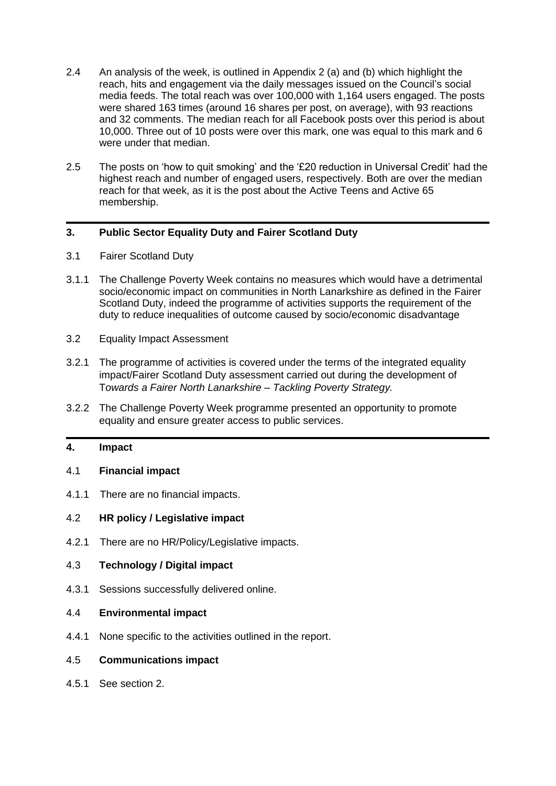- 2.4 An analysis of the week, is outlined in Appendix 2 (a) and (b) which highlight the reach, hits and engagement via the daily messages issued on the Council's social media feeds. The total reach was over 100,000 with 1,164 users engaged. The posts were shared 163 times (around 16 shares per post, on average), with 93 reactions and 32 comments. The median reach for all Facebook posts over this period is about 10,000. Three out of 10 posts were over this mark, one was equal to this mark and 6 were under that median.
- 2.5 The posts on 'how to quit smoking' and the '£20 reduction in Universal Credit' had the highest reach and number of engaged users, respectively. Both are over the median reach for that week, as it is the post about the Active Teens and Active 65 membership.

#### **3. Public Sector Equality Duty and Fairer Scotland Duty**

- 3.1 Fairer Scotland Duty
- 3.1.1 The Challenge Poverty Week contains no measures which would have a detrimental socio/economic impact on communities in North Lanarkshire as defined in the Fairer Scotland Duty, indeed the programme of activities supports the requirement of the duty to reduce inequalities of outcome caused by socio/economic disadvantage
- 3.2 Equality Impact Assessment
- 3.2.1 The programme of activities is covered under the terms of the integrated equality impact/Fairer Scotland Duty assessment carried out during the development of T*owards a Fairer North Lanarkshire – Tackling Poverty Strategy.*
- 3.2.2 The Challenge Poverty Week programme presented an opportunity to promote equality and ensure greater access to public services.

### **4. Impact**

#### 4.1 **Financial impact**

4.1.1 There are no financial impacts.

#### 4.2 **HR policy / Legislative impact**

4.2.1 There are no HR/Policy/Legislative impacts.

#### 4.3 **Technology / Digital impact**

4.3.1 Sessions successfully delivered online.

#### 4.4 **Environmental impact**

4.4.1 None specific to the activities outlined in the report.

#### 4.5 **Communications impact**

4.5.1 See section 2.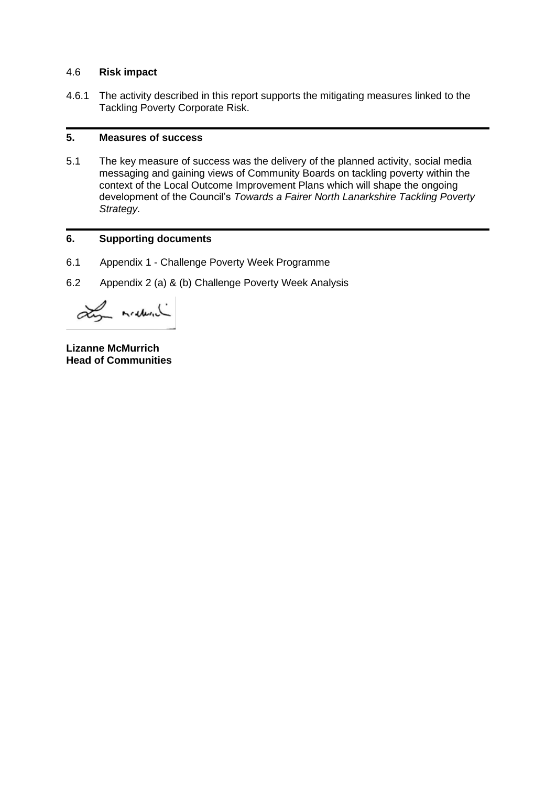#### 4.6 **Risk impact**

4.6.1 The activity described in this report supports the mitigating measures linked to the Tackling Poverty Corporate Risk.

#### **5. Measures of success**

5.1 The key measure of success was the delivery of the planned activity, social media messaging and gaining views of Community Boards on tackling poverty within the context of the Local Outcome Improvement Plans which will shape the ongoing development of the Council's *Towards a Fairer North Lanarkshire Tackling Poverty Strategy.*

#### **6. Supporting documents**

- 6.1 Appendix 1 Challenge Poverty Week Programme
- 6.2 Appendix 2 (a) & (b) Challenge Poverty Week Analysis

Ly mediate

**Lizanne McMurrich Head of Communities**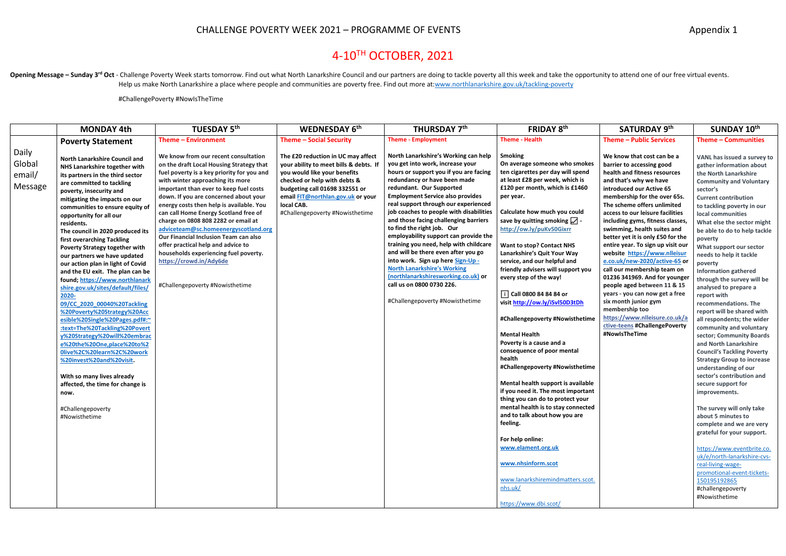# CHALLENGE POVERTY WEEK 2021 - PROGRAMME OF EVENTS **Appendix 1** Appendix 1

# 4-10 TH OCTOBER, 2021

Opening Message - Sunday 3<sup>rd</sup> Oct - Challenge Poverty Week starts tomorrow. Find out what North Lanarkshire Council and our partners are doing to tackle poverty all this week and take the opportunity to attend one of our Help us make North Lanarkshire a place where people and communities are poverty free. Find out more at[:www.northlanarkshire.gov.uk/tackling-poverty](http://www.northlanarkshire.gov.uk/tackling-poverty)

#ChallengePoverty #NowIsTheTime

|                                      | <b>MONDAY 4th</b>                                                                                                                                                                                                                                                                                                                                                                                                                                                                                                                                                                                                                                                                                                                                                                                                                                                                                                                                    | TUESDAY 5 <sup>th</sup>                                                                                                                                                                                                                                                                                                                                                                                                                                                                                                                                                                                         | WEDNESDAY 6th                                                                                                                                                                                                                                                        | THURSDAY 7th                                                                                                                                                                                                                                                                                                                                                                                                                                                                                                                                                                                                                                                                                    | FRIDAY 8th                                                                                                                                                                                                                                                                                                                                                                                                                                                                                                                                                                                                                                                                                                                                                                                                                                                                                                                                                                                                           | SATURDAY 9th                                                                                                                                                                                                                                                                                                                                                                                                                                                                                                                                                                                                                                                                                                                 | SUNDAY 10th                                                                                                                                                                                                                                                                                                                                                                                                                                                                                                                                                                                                                                                                                                                                                                                                                                                                                                                                                                                                                                                                                  |
|--------------------------------------|------------------------------------------------------------------------------------------------------------------------------------------------------------------------------------------------------------------------------------------------------------------------------------------------------------------------------------------------------------------------------------------------------------------------------------------------------------------------------------------------------------------------------------------------------------------------------------------------------------------------------------------------------------------------------------------------------------------------------------------------------------------------------------------------------------------------------------------------------------------------------------------------------------------------------------------------------|-----------------------------------------------------------------------------------------------------------------------------------------------------------------------------------------------------------------------------------------------------------------------------------------------------------------------------------------------------------------------------------------------------------------------------------------------------------------------------------------------------------------------------------------------------------------------------------------------------------------|----------------------------------------------------------------------------------------------------------------------------------------------------------------------------------------------------------------------------------------------------------------------|-------------------------------------------------------------------------------------------------------------------------------------------------------------------------------------------------------------------------------------------------------------------------------------------------------------------------------------------------------------------------------------------------------------------------------------------------------------------------------------------------------------------------------------------------------------------------------------------------------------------------------------------------------------------------------------------------|----------------------------------------------------------------------------------------------------------------------------------------------------------------------------------------------------------------------------------------------------------------------------------------------------------------------------------------------------------------------------------------------------------------------------------------------------------------------------------------------------------------------------------------------------------------------------------------------------------------------------------------------------------------------------------------------------------------------------------------------------------------------------------------------------------------------------------------------------------------------------------------------------------------------------------------------------------------------------------------------------------------------|------------------------------------------------------------------------------------------------------------------------------------------------------------------------------------------------------------------------------------------------------------------------------------------------------------------------------------------------------------------------------------------------------------------------------------------------------------------------------------------------------------------------------------------------------------------------------------------------------------------------------------------------------------------------------------------------------------------------------|----------------------------------------------------------------------------------------------------------------------------------------------------------------------------------------------------------------------------------------------------------------------------------------------------------------------------------------------------------------------------------------------------------------------------------------------------------------------------------------------------------------------------------------------------------------------------------------------------------------------------------------------------------------------------------------------------------------------------------------------------------------------------------------------------------------------------------------------------------------------------------------------------------------------------------------------------------------------------------------------------------------------------------------------------------------------------------------------|
|                                      | <b>Poverty Statement</b>                                                                                                                                                                                                                                                                                                                                                                                                                                                                                                                                                                                                                                                                                                                                                                                                                                                                                                                             | <b>Theme - Environment</b>                                                                                                                                                                                                                                                                                                                                                                                                                                                                                                                                                                                      | Theme - Social Security                                                                                                                                                                                                                                              | <b>Theme - Employment</b>                                                                                                                                                                                                                                                                                                                                                                                                                                                                                                                                                                                                                                                                       | <b>Theme - Health</b>                                                                                                                                                                                                                                                                                                                                                                                                                                                                                                                                                                                                                                                                                                                                                                                                                                                                                                                                                                                                | <b>Theme - Public Services</b>                                                                                                                                                                                                                                                                                                                                                                                                                                                                                                                                                                                                                                                                                               | Theme - Communities                                                                                                                                                                                                                                                                                                                                                                                                                                                                                                                                                                                                                                                                                                                                                                                                                                                                                                                                                                                                                                                                          |
| Daily<br>Global<br>email/<br>Message | <b>North Lanarkshire Council and</b><br>NHS Lanarkshire together with<br>its partners in the third sector<br>are committed to tackling<br>poverty, insecurity and<br>mitigating the impacts on our<br>communities to ensure equity of<br>opportunity for all our<br>residents.<br>The council in 2020 produced its<br>first overarching Tackling<br>Poverty Strategy together with<br>our partners we have updated<br>our action plan in light of Covid<br>and the EU exit. The plan can be<br>found; https://www.northlanark<br>shire.gov.uk/sites/default/files/<br>2020-<br>09/CC 2020 00040%20Tackling<br>%20Poverty%20Strategy%20Acc<br>esible%20Single%20Pages.pdf#:~<br>:text=The%20Tackling%20Povert<br>y%20Strategy%20will%20embrac<br>e%20the%20One,place%20to%2<br>0live%2C%20learn%2C%20work<br>%20invest%20and%20visit.<br>With so many lives already<br>affected, the time for change is<br>now.<br>#Challengepoverty<br>#Nowisthetime | We know from our recent consultation<br>on the draft Local Housing Strategy that<br>fuel poverty is a key priority for you and<br>with winter approaching its more<br>important than ever to keep fuel costs<br>down. If you are concerned about your<br>energy costs then help is available. You<br>can call Home Energy Scotland free of<br>charge on 0808 808 2282 or email at<br>adviceteam@sc.homeenergyscotland.org<br>Our Financial Inclusion Team can also<br>offer practical help and advice to<br>households experiencing fuel poverty.<br>https://crowd.in/Ady6de<br>#Challengepoverty #Nowisthetime | The £20 reduction in UC may affect<br>your ability to meet bills & debts. If<br>you would like your benefits<br>checked or help with debts &<br>budgeting call 01698 332551 or<br>email FIT@northlan.gov.uk or your<br>local CAB.<br>#Challengepoverty #Nowisthetime | North Lanarkshire's Working can help<br>you get into work, increase your<br>hours or support you if you are facing<br>redundancy or have been made<br>redundant. Our Supported<br><b>Employment Service also provides</b><br>real support through our experienced<br>job coaches to people with disabilities<br>and those facing challenging barriers<br>to find the right job. Our<br>employability support can provide the<br>training you need, help with childcare<br>and will be there even after you go<br>into work. Sign up here Sign-Up -<br><b>North Lanarkshire's Working</b><br>(northlanarkshiresworking.co.uk) or<br>call us on 0800 0730 226.<br>#Challengepoverty #Nowisthetime | <b>Smoking</b><br>On average someone who smokes<br>ten cigarettes per day will spend<br>at least £28 per week, which is<br>£120 per month, which is £1460<br>per year.<br>Calculate how much you could<br>save by quitting smoking $\Box$ -<br>http://ow.ly/puKv50Gixrr<br><b>Want to stop? Contact NHS</b><br>Lanarkshire's Quit Your Way<br>service, and our helpful and<br>friendly advisers will support you<br>every step of the way!<br>i Call 0800 84 84 84 or<br>visit http://ow.ly/iSvl50D3tDh<br>#Challengepoverty #Nowisthetime<br><b>Mental Health</b><br>Poverty is a cause and a<br>consequence of poor mental<br>health<br>#Challengepoverty #Nowisthetime<br>Mental health support is available<br>if you need it. The most important<br>thing you can do to protect your<br>mental health is to stay connected<br>and to talk about how you are<br>feeling.<br>For help online:<br>www.elament.org.uk<br>www.nhsinform.scot<br>www.lanarkshiremindmatters.scot.<br>nhs.uk/<br>https://www.dbi.scot/ | We know that cost can be a<br>barrier to accessing good<br>health and fitness resources<br>and that's why we have<br>introduced our Active 65<br>membership for the over 65s.<br>The scheme offers unlimited<br>access to our leisure facilities<br>including gyms, fitness classes,<br>swimming, health suites and<br>better yet it is only £50 for the<br>entire year. To sign up visit our<br>website https://www.nlleisur<br>e.co.uk/new-2020/active-65 or<br>call our membership team on<br>01236 341969. And for younger<br>people aged between 11 & 15<br>years - you can now get a free<br>six month junior gym<br>membership too<br>https://www.nlleisure.co.uk/a<br>ctive-teens #ChallengePoverty<br>#NowIsTheTime | VANL has issued a survey to<br>gather information about<br>the North Lanarkshire<br><b>Community and Voluntary</b><br>sector's<br><b>Current contribution</b><br>to tackling poverty in our<br>local communities<br>What else the sector might<br>be able to do to help tackle<br>poverty<br>What support our sector<br>needs to help it tackle<br>poverty<br><b>Information gathered</b><br>through the survey will be<br>analysed to prepare a<br>report with<br>recommendations. The<br>report will be shared with<br>all respondents; the wider<br>community and voluntary<br>sector; Community Boards<br>and North Lanarkshire<br><b>Council's Tackling Poverty</b><br><b>Strategy Group to increase</b><br>understanding of our<br>sector's contribution and<br>secure support for<br>improvements.<br>The survey will only take<br>about 5 minutes to<br>complete and we are very<br>grateful for your support.<br>https://www.eventbrite.co.<br>uk/e/north-lanarkshire-cvs-<br>real-living-wage-<br>promotional-event-tickets-<br>150195192865<br>#challengepoverty<br>#Nowisthetime |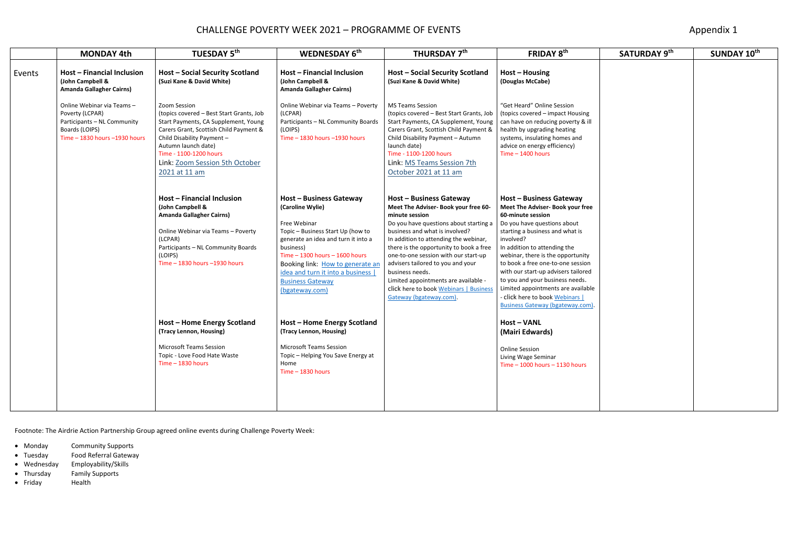# CHALLENGE POVERTY WEEK 2021 - PROGRAMME OF EVENTS **Appendix 1** Appendix 1

|        | <b>MONDAY 4th</b>                                                                                                               | <b>TUESDAY 5th</b>                                                                                                                                                                                                                                                           | WEDNESDAY 6th                                                                                                                                                                                                                                                                                                          | THURSDAY 7th                                                                                                                                                                                                                                                                                                                                                                                                                                                   | FRIDAY 8th                                                                                                                                                                                                                                                                                                                                                                                                                                                              | SATURDAY 9th | SUNDAY 10th |
|--------|---------------------------------------------------------------------------------------------------------------------------------|------------------------------------------------------------------------------------------------------------------------------------------------------------------------------------------------------------------------------------------------------------------------------|------------------------------------------------------------------------------------------------------------------------------------------------------------------------------------------------------------------------------------------------------------------------------------------------------------------------|----------------------------------------------------------------------------------------------------------------------------------------------------------------------------------------------------------------------------------------------------------------------------------------------------------------------------------------------------------------------------------------------------------------------------------------------------------------|-------------------------------------------------------------------------------------------------------------------------------------------------------------------------------------------------------------------------------------------------------------------------------------------------------------------------------------------------------------------------------------------------------------------------------------------------------------------------|--------------|-------------|
| Events | <b>Host - Financial Inclusion</b><br>(John Campbell &<br><b>Amanda Gallagher Cairns)</b>                                        | <b>Host - Social Security Scotland</b><br>(Suzi Kane & David White)                                                                                                                                                                                                          | <b>Host - Financial Inclusion</b><br>(John Campbell &<br><b>Amanda Gallagher Cairns)</b>                                                                                                                                                                                                                               | <b>Host - Social Security Scotland</b><br>(Suzi Kane & David White)                                                                                                                                                                                                                                                                                                                                                                                            | $Host$ – Housing<br>(Douglas McCabe)                                                                                                                                                                                                                                                                                                                                                                                                                                    |              |             |
|        | Online Webinar via Teams-<br>Poverty (LCPAR)<br>Participants - NL Community<br>Boards (LOIPS)<br>Time - 1830 hours - 1930 hours | Zoom Session<br>(topics covered - Best Start Grants, Job<br>Start Payments, CA Supplement, Young<br>Carers Grant, Scottish Child Payment &<br>Child Disability Payment -<br>Autumn launch date)<br>Time - 1100-1200 hours<br>Link: Zoom Session 5th October<br>2021 at 11 am | Online Webinar via Teams - Poverty<br>(LCPAR)<br>Participants - NL Community Boards<br>(LOIPS)<br>Time $-$ 1830 hours $-$ 1930 hours                                                                                                                                                                                   | <b>MS Teams Session</b><br>(topics covered - Best Start Grants, Job<br>Start Payments, CA Supplement, Young<br>Carers Grant, Scottish Child Payment &<br>Child Disability Payment - Autumn<br>launch date)<br>Time - 1100-1200 hours<br>Link: MS Teams Session 7th<br>October 2021 at 11 am                                                                                                                                                                    | "Get Heard" Online Session<br>(topics covered - impact Housing<br>can have on reducing poverty & ill<br>health by upgrading heating<br>systems, insulating homes and<br>advice on energy efficiency)<br>Time $-$ 1400 hours                                                                                                                                                                                                                                             |              |             |
|        |                                                                                                                                 | Host - Financial Inclusion<br>(John Campbell &<br><b>Amanda Gallagher Cairns)</b><br>Online Webinar via Teams - Poverty<br>(LCPAR)<br>Participants - NL Community Boards<br>(LOIPS)<br>Time - 1830 hours - 1930 hours                                                        | <b>Host - Business Gateway</b><br>(Caroline Wylie)<br>Free Webinar<br>Topic - Business Start Up (how to<br>generate an idea and turn it into a<br>business)<br>Time $-$ 1300 hours $-$ 1600 hours<br>Booking link: How to generate an<br>idea and turn it into a business<br><b>Business Gateway</b><br>(bgateway.com) | Host - Business Gateway<br>Meet The Adviser- Book your free 60-<br>minute session<br>Do you have questions about starting a<br>business and what is involved?<br>In addition to attending the webinar,<br>there is the opportunity to book a free<br>one-to-one session with our start-up<br>advisers tailored to you and your<br>business needs.<br>Limited appointments are available -<br>click here to book Webinars   Business<br>Gateway (bgateway.com). | Host - Business Gateway<br>Meet The Adviser- Book your free<br>60-minute session<br>Do you have questions about<br>starting a business and what is<br>involved?<br>In addition to attending the<br>webinar, there is the opportunity<br>to book a free one-to-one session<br>with our start-up advisers tailored<br>to you and your business needs.<br>Limited appointments are available<br>- click here to book Webinars  <br><b>Business Gateway (bgateway.com).</b> |              |             |
|        |                                                                                                                                 | Host - Home Energy Scotland<br>(Tracy Lennon, Housing)                                                                                                                                                                                                                       | Host - Home Energy Scotland<br>(Tracy Lennon, Housing)                                                                                                                                                                                                                                                                 |                                                                                                                                                                                                                                                                                                                                                                                                                                                                | <b>Host-VANL</b><br>(Mairi Edwards)                                                                                                                                                                                                                                                                                                                                                                                                                                     |              |             |
|        |                                                                                                                                 | <b>Microsoft Teams Session</b><br>Topic - Love Food Hate Waste<br>$Time - 1830 hours$                                                                                                                                                                                        | <b>Microsoft Teams Session</b><br>Topic - Helping You Save Energy at<br>Home<br>Time $-$ 1830 hours                                                                                                                                                                                                                    |                                                                                                                                                                                                                                                                                                                                                                                                                                                                | <b>Online Session</b><br>Living Wage Seminar<br>Time $-$ 1000 hours $-$ 1130 hours                                                                                                                                                                                                                                                                                                                                                                                      |              |             |
|        |                                                                                                                                 |                                                                                                                                                                                                                                                                              |                                                                                                                                                                                                                                                                                                                        |                                                                                                                                                                                                                                                                                                                                                                                                                                                                |                                                                                                                                                                                                                                                                                                                                                                                                                                                                         |              |             |

- Monday Community Supports
- Tuesday Food Referral Gateway
- Wednesday Employability/Skills
- Thursday Family Supports
- Friday Health

Footnote: The Airdrie Action Partnership Group agreed online events during Challenge Poverty Week: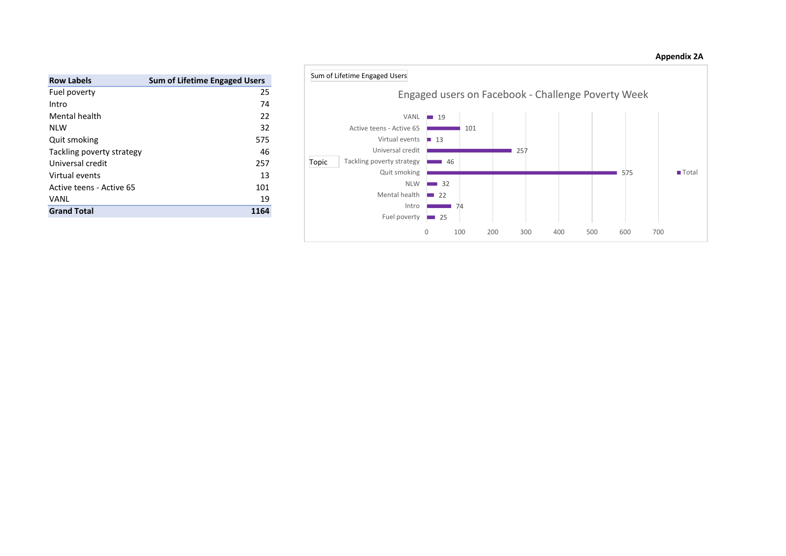| <b>Appendix 2A</b> |  |
|--------------------|--|
|--------------------|--|

| <b>Row Labels</b>         | <b>Sum of Lifetime Engaged Users</b> |
|---------------------------|--------------------------------------|
| Fuel poverty              | 25                                   |
| Intro                     | 74                                   |
| Mental health             | 22                                   |
| NI W                      | 32                                   |
| Quit smoking              | 575                                  |
| Tackling poverty strategy | 46                                   |
| Universal credit          | 257                                  |
| Virtual events            | 13                                   |
| Active teens - Active 65  | 101                                  |
| VANL                      | 19                                   |
| <b>Grand Total</b>        | 1164                                 |

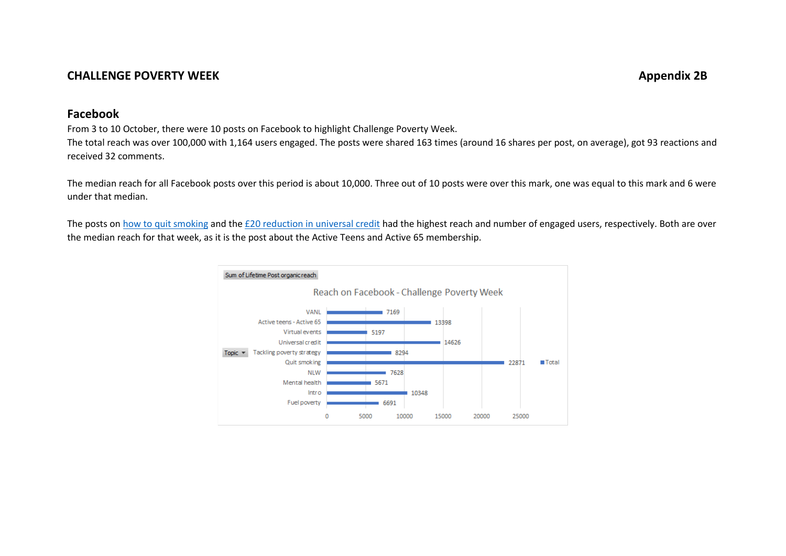## **CHALLENGE POVERTY WEEK Appendix 2B**

## **Facebook**

From 3 to 10 October, there were 10 posts on Facebook to highlight Challenge Poverty Week.

The total reach was over 100,000 with 1,164 users engaged. The posts were shared 163 times (around 16 shares per post, on average), got 93 reactions and received 32 comments.

The median reach for all Facebook posts over this period is about 10,000. Three out of 10 posts were over this mark, one was equal to this mark and 6 were under that median.

The posts o[n how to quit smoking](https://www.facebook.com/nlcpeople/posts/6524643517576149) and the [£20 reduction in universal credit](https://www.facebook.com/nlcpeople/posts/6524586384248529) had the highest reach and number of engaged users, respectively. Both are over the median reach for that week, as it is the post about the Active Teens and Active 65 membership.

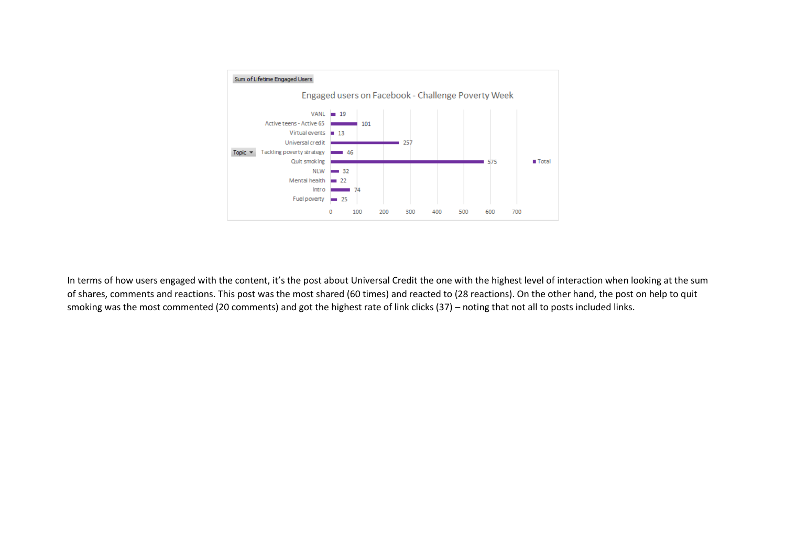

In terms of how users engaged with the content, it's the post about Universal Credit the one with the highest level of interaction when looking at the sum of shares, comments and reactions. This post was the most shared (60 times) and reacted to (28 reactions). On the other hand, the post on help to quit smoking was the most commented (20 comments) and got the highest rate of link clicks (37) – noting that not all to posts included links.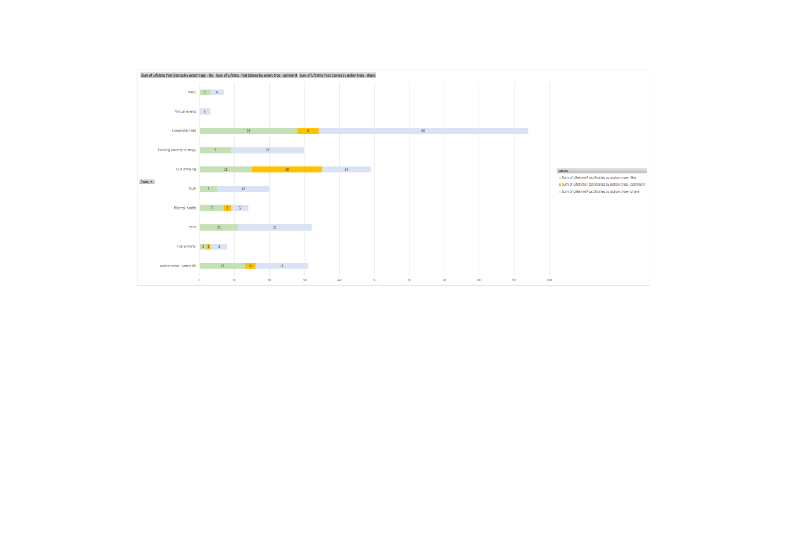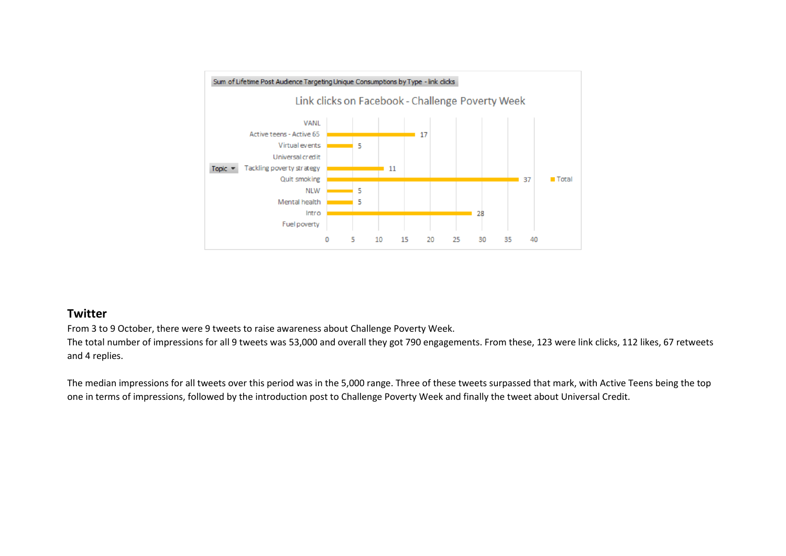

#### **Twitter**

From 3 to 9 October, there were 9 tweets to raise awareness about Challenge Poverty Week.

The total number of impressions for all 9 tweets was 53,000 and overall they got 790 engagements. From these, 123 were link clicks, 112 likes, 67 retweets and 4 replies.

The median impressions for all tweets over this period was in the 5,000 range. Three of these tweets surpassed that mark, with Active Teens being the top one in terms of impressions, followed by the introduction post to Challenge Poverty Week and finally the tweet about Universal Credit.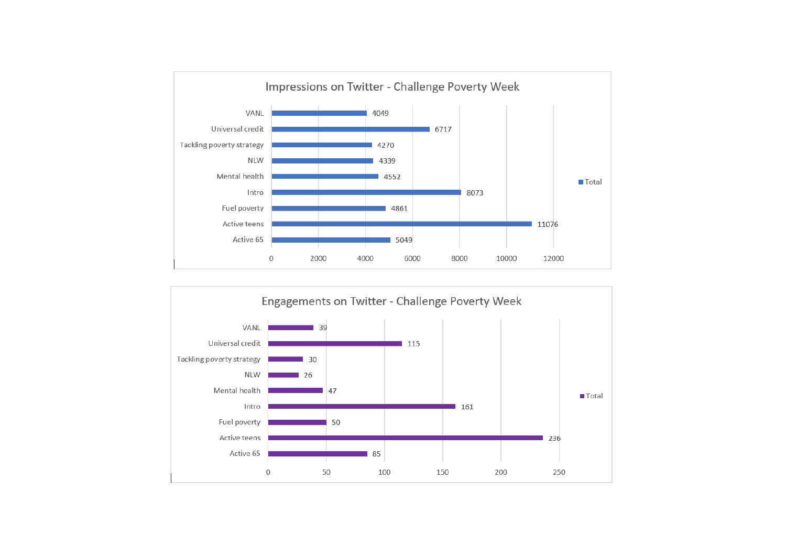

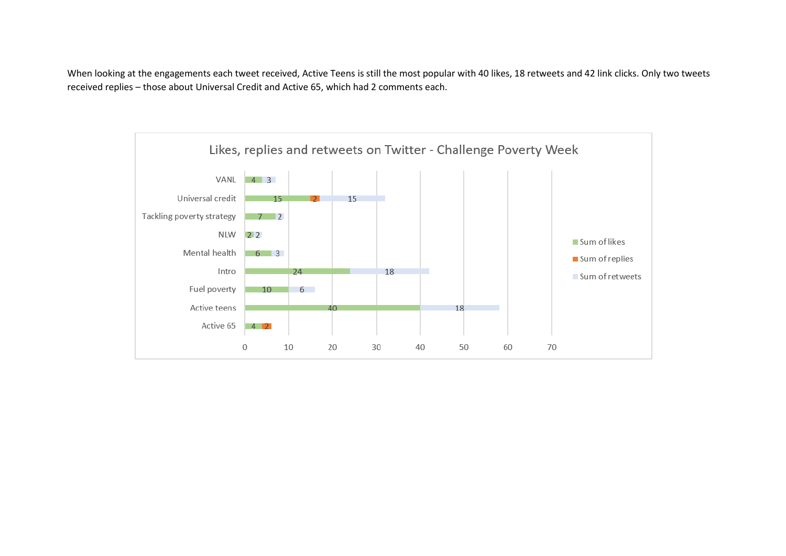When looking at the engagements each tweet received, Active Teens is still the most popular with 40 likes, 18 retweets and 42 link clicks. Only two tweets received replies – those about Universal Credit and Active 65, which had 2 comments each.